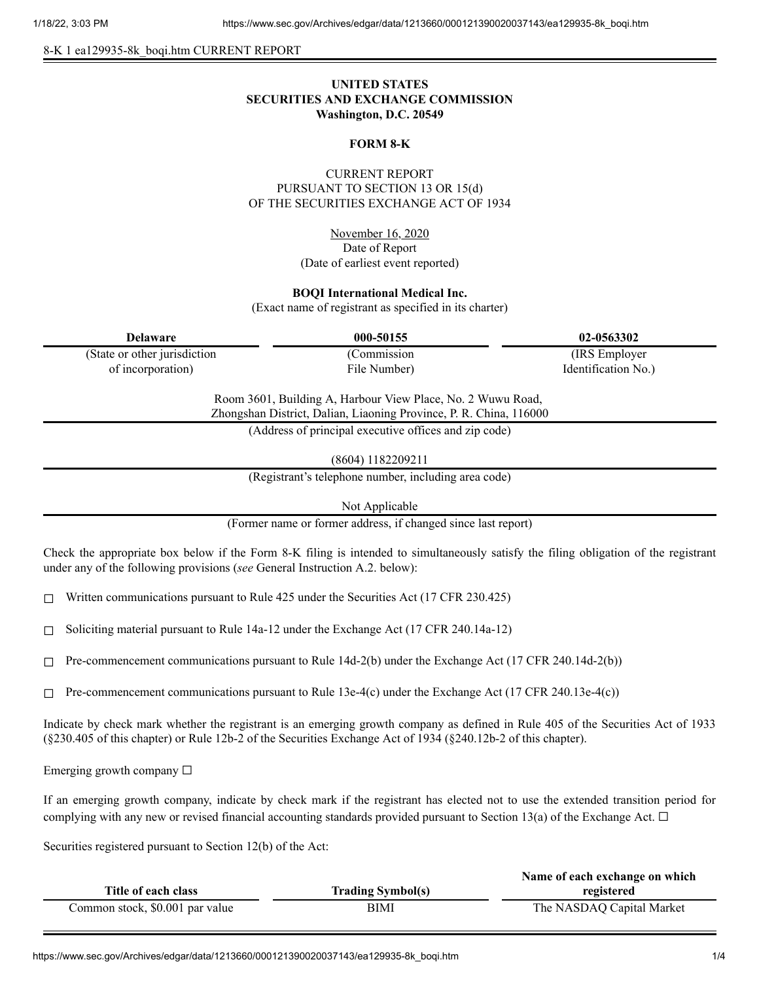8-K 1 ea129935-8k\_boqi.htm CURRENT REPORT

# **UNITED STATES SECURITIES AND EXCHANGE COMMISSION Washington, D.C. 20549**

### **FORM 8-K**

### CURRENT REPORT PURSUANT TO SECTION 13 OR 15(d) OF THE SECURITIES EXCHANGE ACT OF 1934

November 16, 2020 Date of Report (Date of earliest event reported)

#### **BOQI International Medical Inc.**

(Exact name of registrant as specified in its charter)

| <b>Delaware</b>               | 000-50155                                                   | 02-0563302          |
|-------------------------------|-------------------------------------------------------------|---------------------|
| (State or other jurisdiction) | (Commission)                                                | (IRS Employer)      |
| of incorporation)             | File Number)                                                | Identification No.) |
|                               | Room 3601, Building A, Harbour View Place, No. 2 Wuwu Road, |                     |

Zhongshan District, Dalian, Liaoning Province, P. R. China, 116000

(Address of principal executive offices and zip code)

(8604) 1182209211

(Registrant's telephone number, including area code)

Not Applicable

(Former name or former address, if changed since last report)

Check the appropriate box below if the Form 8-K filing is intended to simultaneously satisfy the filing obligation of the registrant under any of the following provisions (*see* General Instruction A.2. below):

☐ Written communications pursuant to Rule 425 under the Securities Act (17 CFR 230.425)

 $\Box$  Soliciting material pursuant to Rule 14a-12 under the Exchange Act (17 CFR 240.14a-12)

 $\Box$  Pre-commencement communications pursuant to Rule 14d-2(b) under the Exchange Act (17 CFR 240.14d-2(b))

 $\Box$  Pre-commencement communications pursuant to Rule 13e-4(c) under the Exchange Act (17 CFR 240.13e-4(c))

Indicate by check mark whether the registrant is an emerging growth company as defined in Rule 405 of the Securities Act of 1933 (§230.405 of this chapter) or Rule 12b-2 of the Securities Exchange Act of 1934 (§240.12b-2 of this chapter).

Emerging growth company  $\Box$ 

If an emerging growth company, indicate by check mark if the registrant has elected not to use the extended transition period for complying with any new or revised financial accounting standards provided pursuant to Section 13(a) of the Exchange Act.  $\Box$ 

Securities registered pursuant to Section 12(b) of the Act:

|                                 |                          | Name of each exchange on which |
|---------------------------------|--------------------------|--------------------------------|
| Title of each class             | <b>Trading Symbol(s)</b> | registered                     |
| Common stock, \$0.001 par value | BIMI                     | The NASDAQ Capital Market      |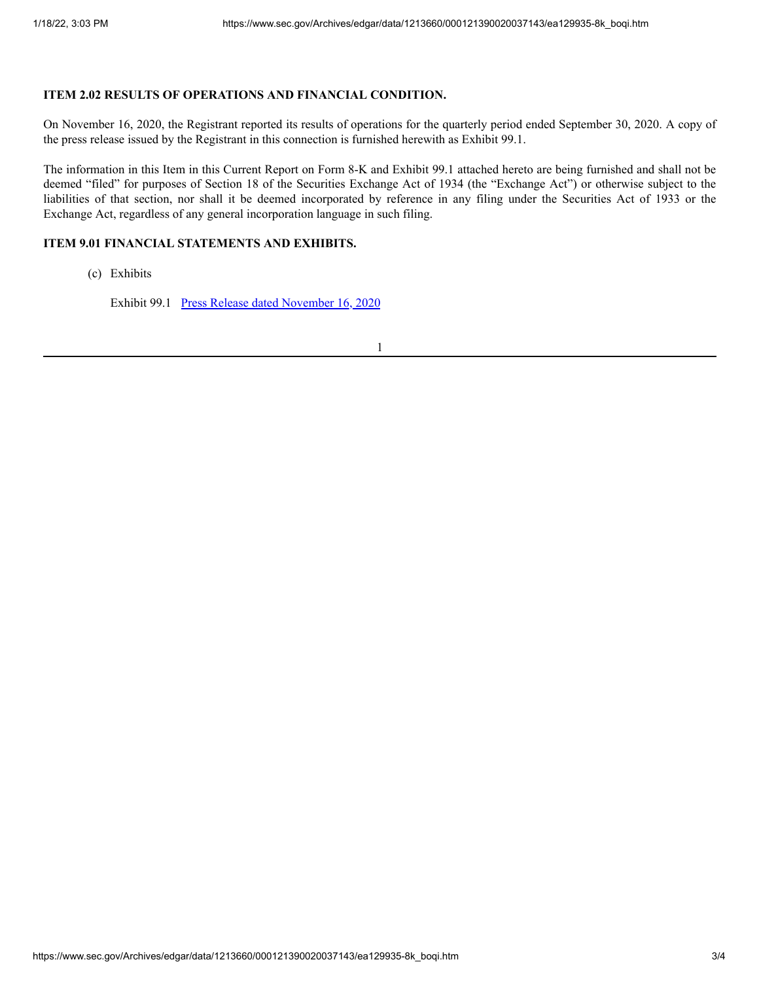## **ITEM 2.02 RESULTS OF OPERATIONS AND FINANCIAL CONDITION.**

On November 16, 2020, the Registrant reported its results of operations for the quarterly period ended September 30, 2020. A copy of the press release issued by the Registrant in this connection is furnished herewith as Exhibit 99.1.

The information in this Item in this Current Report on Form 8-K and Exhibit 99.1 attached hereto are being furnished and shall not be deemed "filed" for purposes of Section 18 of the Securities Exchange Act of 1934 (the "Exchange Act") or otherwise subject to the liabilities of that section, nor shall it be deemed incorporated by reference in any filing under the Securities Act of 1933 or the Exchange Act, regardless of any general incorporation language in such filing.

## **ITEM 9.01 FINANCIAL STATEMENTS AND EXHIBITS.**

(c) Exhibits

Exhibit 99.1 Press Release dated [November](https://www.sec.gov/Archives/edgar/data/1213660/000121390020037143/ea129935ex99-1_boqi.htm) 16, 2020

1